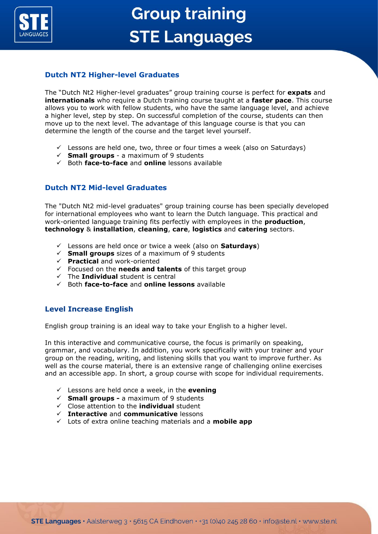

Ĩ

# **Group training STE Languages**

## **Dutch NT2 Higher-level Graduates**

The "Dutch Nt2 Higher-level graduates" group training course is perfect for **expats** and **internationals** who require a Dutch training course taught at a **faster pace**. This course allows you to work with fellow students, who have the same language level, and achieve a higher level, step by step. On successful completion of the course, students can then move up to the next level. The advantage of this language course is that you can determine the length of the course and the target level yourself.

- $\checkmark$  Lessons are held one, two, three or four times a week (also on Saturdays)
- ✓ **Small groups**  a maximum of 9 students
- ✓ Both **face-to-face** and **online** lessons available

## **Dutch NT2 Mid-level Graduates**

The "Dutch Nt2 mid-level graduates" group training course has been specially developed for international employees who want to learn the Dutch language. This practical and work-oriented language training fits perfectly with employees in the **production**, **technology** & **installation**, **cleaning**, **care**, **logistics** and **catering** sectors.

- ✓ Lessons are held once or twice a week (also on **Saturdays**)
- $\checkmark$  **Small groups** sizes of a maximum of 9 students
- ✓ **Practical** and work-oriented
- ✓ Focused on the **needs and talents** of this target group
- ✓ The **Individual** student is central
- ✓ Both **face-to-face** and **online lessons** available

## **Level Increase English**

English group training is an ideal way to take your English to a higher level.

In this interactive and communicative course, the focus is primarily on speaking, grammar, and vocabulary. In addition, you work specifically with your trainer and your group on the reading, writing, and listening skills that you want to improve further. As well as the course material, there is an extensive range of challenging online exercises and an accessible app. In short, a group course with scope for individual requirements.

- $\checkmark$  Lessons are held once a week, in the **evening**
- ✓ **Small groups -** a maximum of 9 students
- ✓ Close attention to the **individual** student
- ✓ **Interactive** and **communicative** lessons
- ✓ Lots of extra online teaching materials and a **mobile app**